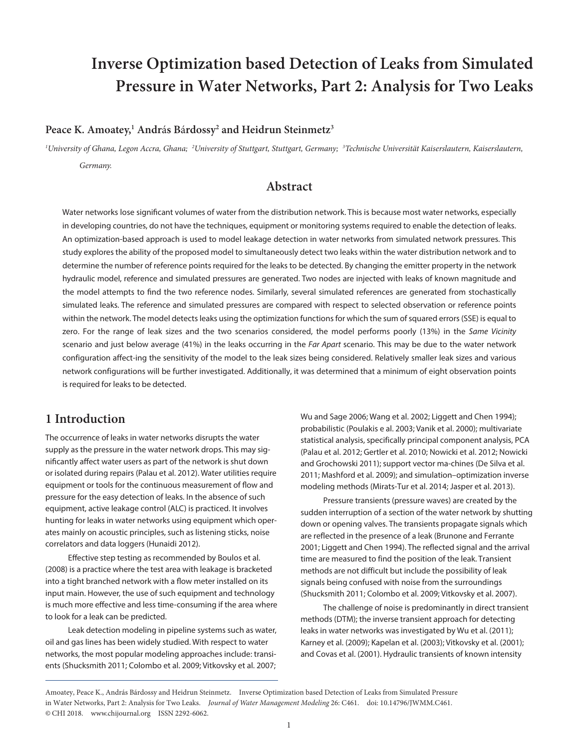# **Inverse Optimization based Detection of Leaks from Simulated Pressure in Water Networks, Part 2: Analysis for Two Leaks**

#### **Peace K. Amoatey,1 Andr**á**s B**á**rdossy2 and Heidrun Steinmetz3**

*1 University of Ghana, Legon Accra, Ghana; <sup>2</sup> University of Stuttgart, Stuttgart, Germany; <sup>3</sup> Technische Universität Kaiserslautern, Kaiserslautern, Germany.*

### **Abstract**

Water networks lose significant volumes of water from the distribution network. This is because most water networks, especially in developing countries, do not have the techniques, equipment or monitoring systems required to enable the detection of leaks. An optimization-based approach is used to model leakage detection in water networks from simulated network pressures. This study explores the ability of the proposed model to simultaneously detect two leaks within the water distribution network and to determine the number of reference points required for the leaks to be detected. By changing the emitter property in the network hydraulic model, reference and simulated pressures are generated. Two nodes are injected with leaks of known magnitude and the model attempts to find the two reference nodes. Similarly, several simulated references are generated from stochastically simulated leaks. The reference and simulated pressures are compared with respect to selected observation or reference points within the network. The model detects leaks using the optimization functions for which the sum of squared errors (SSE) is equal to zero. For the range of leak sizes and the two scenarios considered, the model performs poorly (13%) in the *Same Vicinity* scenario and just below average (41%) in the leaks occurring in the *Far Apart* scenario. This may be due to the water network configuration affect-ing the sensitivity of the model to the leak sizes being considered. Relatively smaller leak sizes and various network configurations will be further investigated. Additionally, it was determined that a minimum of eight observation points is required for leaks to be detected.

### **1 Introduction**

The occurrence of leaks in water networks disrupts the water supply as the pressure in the water network drops. This may significantly affect water users as part of the network is shut down or isolated during repairs (Palau et al. 2012). Water utilities require equipment or tools for the continuous measurement of flow and pressure for the easy detection of leaks. In the absence of such equipment, active leakage control (ALC) is practiced. It involves hunting for leaks in water networks using equipment which operates mainly on acoustic principles, such as listening sticks, noise correlators and data loggers (Hunaidi 2012).

Effective step testing as recommended by Boulos et al. (2008) is a practice where the test area with leakage is bracketed into a tight branched network with a flow meter installed on its input main. However, the use of such equipment and technology is much more effective and less time-consuming if the area where to look for a leak can be predicted.

Leak detection modeling in pipeline systems such as water, oil and gas lines has been widely studied. With respect to water networks, the most popular modeling approaches include: transients (Shucksmith 2011; Colombo et al. 2009; Vitkovsky et al. 2007; Wu and Sage 2006; Wang et al. 2002; Liggett and Chen 1994); probabilistic (Poulakis e al. 2003; Vanik et al. 2000); multivariate statistical analysis, specifically principal component analysis, PCA (Palau et al. 2012; Gertler et al. 2010; Nowicki et al. 2012; Nowicki and Grochowski 2011); support vector ma-chines (De Silva et al. 2011; Mashford et al. 2009); and simulation–optimization inverse modeling methods (Mirats-Tur et al. 2014; Jasper et al. 2013).

Pressure transients (pressure waves) are created by the sudden interruption of a section of the water network by shutting down or opening valves. The transients propagate signals which are reflected in the presence of a leak (Brunone and Ferrante 2001; Liggett and Chen 1994). The reflected signal and the arrival time are measured to find the position of the leak. Transient methods are not difficult but include the possibility of leak signals being confused with noise from the surroundings (Shucksmith 2011; Colombo et al. 2009; Vitkovsky et al. 2007).

The challenge of noise is predominantly in direct transient methods (DTM); the inverse transient approach for detecting leaks in water networks was investigated by Wu et al. (2011); Karney et al. (2009); Kapelan et al. (2003); Vitkovsky et al. (2001); and Covas et al. (2001). Hydraulic transients of known intensity

Amoatey, Peace K., András Bárdossy and Heidrun Steinmetz. Inverse Optimization based Detection of Leaks from Simulated Pressure in Water Networks, Part 2: Analysis for Two Leaks. *Journal of Water Management Modeling* 26: C461. doi[: 10.14796/JWMM.C461.](https://doi.org/10.14796/JWMM.C461) © CHI 2018. www.chijournal.org ISSN 2292-6062.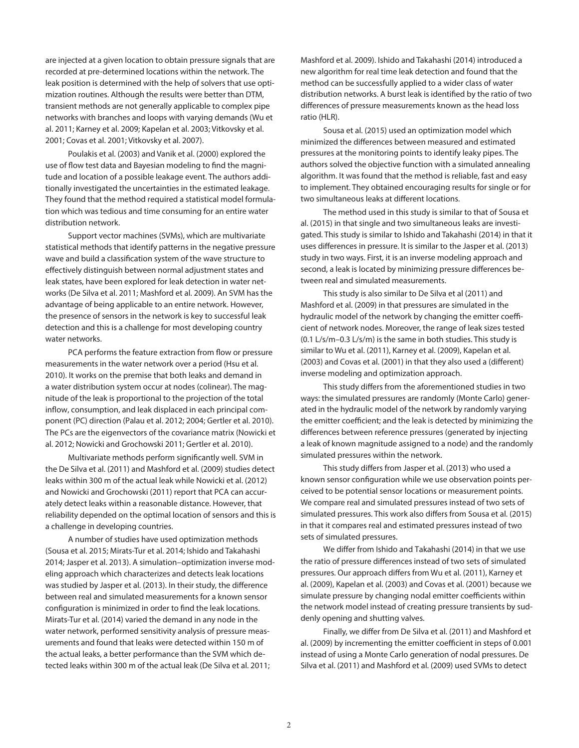are injected at a given location to obtain pressure signals that are recorded at pre-determined locations within the network. The leak position is determined with the help of solvers that use optimization routines. Although the results were better than DTM, transient methods are not generally applicable to complex pipe networks with branches and loops with varying demands (Wu et al. 2011; Karney et al. 2009; Kapelan et al. 2003; Vitkovsky et al. 2001; Covas et al. 2001; Vitkovsky et al. 2007).

Poulakis et al. (2003) and Vanik et al. (2000) explored the use of flow test data and Bayesian modeling to find the magnitude and location of a possible leakage event. The authors additionally investigated the uncertainties in the estimated leakage. They found that the method required a statistical model formulation which was tedious and time consuming for an entire water distribution network.

Support vector machines (SVMs), which are multivariate statistical methods that identify patterns in the negative pressure wave and build a classification system of the wave structure to effectively distinguish between normal adjustment states and leak states, have been explored for leak detection in water networks (De Silva et al. 2011; Mashford et al. 2009). An SVM has the advantage of being applicable to an entire network. However, the presence of sensors in the network is key to successful leak detection and this is a challenge for most developing country water networks.

PCA performs the feature extraction from flow or pressure measurements in the water network over a period (Hsu et al. 2010). It works on the premise that both leaks and demand in a water distribution system occur at nodes (colinear). The magnitude of the leak is proportional to the projection of the total inflow, consumption, and leak displaced in each principal component (PC) direction (Palau et al. 2012; 2004; Gertler et al. 2010). The PCs are the eigenvectors of the covariance matrix (Nowicki et al. 2012; Nowicki and Grochowski 2011; Gertler et al. 2010).

Multivariate methods perform significantly well. SVM in the De Silva et al. (2011) and Mashford et al. (2009) studies detect leaks within 300 m of the actual leak while Nowicki et al. (2012) and Nowicki and Grochowski (2011) report that PCA can accurately detect leaks within a reasonable distance. However, that reliability depended on the optimal location of sensors and this is a challenge in developing countries.

A number of studies have used optimization methods (Sousa et al. 2015; Mirats-Tur et al. 2014; Ishido and Takahashi 2014; Jasper et al. 2013). A simulation–optimization inverse modeling approach which characterizes and detects leak locations was studied by Jasper et al. (2013). In their study, the difference between real and simulated measurements for a known sensor configuration is minimized in order to find the leak locations. Mirats-Tur et al. (2014) varied the demand in any node in the water network, performed sensitivity analysis of pressure measurements and found that leaks were detected within 150 m of the actual leaks, a better performance than the SVM which detected leaks within 300 m of the actual leak (De Silva et al. 2011;

Mashford et al. 2009). Ishido and Takahashi (2014) introduced a new algorithm for real time leak detection and found that the method can be successfully applied to a wider class of water distribution networks. A burst leak is identified by the ratio of two differences of pressure measurements known as the head loss ratio (HLR).

Sousa et al. (2015) used an optimization model which minimized the differences between measured and estimated pressures at the monitoring points to identify leaky pipes. The authors solved the objective function with a simulated annealing algorithm. It was found that the method is reliable, fast and easy to implement. They obtained encouraging results for single or for two simultaneous leaks at different locations.

The method used in this study is similar to that of Sousa et al. (2015) in that single and two simultaneous leaks are investigated. This study is similar to Ishido and Takahashi (2014) in that it uses differences in pressure. It is similar to the Jasper et al. (2013) study in two ways. First, it is an inverse modeling approach and second, a leak is located by minimizing pressure differences between real and simulated measurements.

This study is also similar to De Silva et al (2011) and Mashford et al. (2009) in that pressures are simulated in the hydraulic model of the network by changing the emitter coefficient of network nodes. Moreover, the range of leak sizes tested (0.1 L/s/m–0.3 L/s/m) is the same in both studies. This study is similar to Wu et al. (2011), Karney et al. (2009), Kapelan et al. (2003) and Covas et al. (2001) in that they also used a (different) inverse modeling and optimization approach.

This study differs from the aforementioned studies in two ways: the simulated pressures are randomly (Monte Carlo) generated in the hydraulic model of the network by randomly varying the emitter coefficient; and the leak is detected by minimizing the differences between reference pressures (generated by injecting a leak of known magnitude assigned to a node) and the randomly simulated pressures within the network.

This study differs from Jasper et al. (2013) who used a known sensor configuration while we use observation points perceived to be potential sensor locations or measurement points. We compare real and simulated pressures instead of two sets of simulated pressures. This work also differs from Sousa et al. (2015) in that it compares real and estimated pressures instead of two sets of simulated pressures.

We differ from Ishido and Takahashi (2014) in that we use the ratio of pressure differences instead of two sets of simulated pressures. Our approach differs from Wu et al. (2011), Karney et al. (2009), Kapelan et al. (2003) and Covas et al. (2001) because we simulate pressure by changing nodal emitter coefficients within the network model instead of creating pressure transients by suddenly opening and shutting valves.

Finally, we differ from De Silva et al. (2011) and Mashford et al. (2009) by incrementing the emitter coefficient in steps of 0.001 instead of using a Monte Carlo generation of nodal pressures. De Silva et al. (2011) and Mashford et al. (2009) used SVMs to detect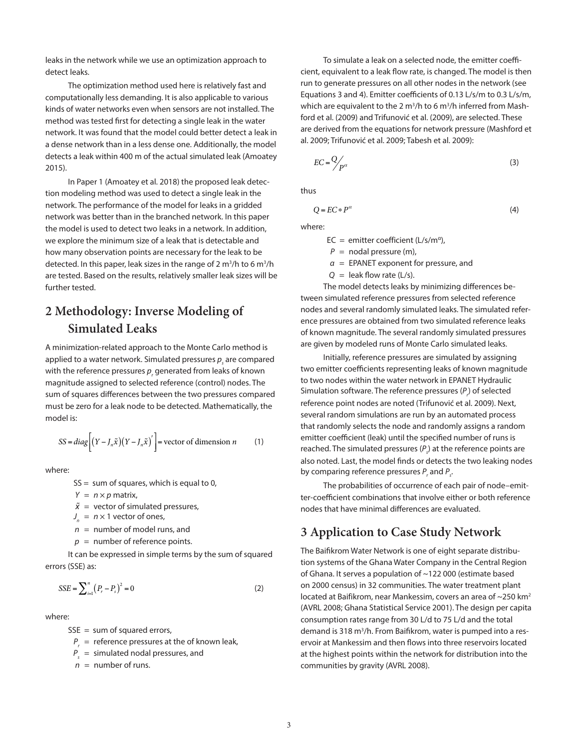leaks in the network while we use an optimization approach to detect leaks.

The optimization method used here is relatively fast and computationally less demanding. It is also applicable to various kinds of water networks even when sensors are not installed. The method was tested first for detecting a single leak in the water network. It was found that the model could better detect a leak in a dense network than in a less dense one. Additionally, the model detects a leak within 400 m of the actual simulated leak (Amoatey 2015).

In Paper 1 (Amoatey et al. 2018) the proposed leak detection modeling method was used to detect a single leak in the network. The performance of the model for leaks in a gridded network was better than in the branched network. In this paper the model is used to detect two leaks in a network. In addition, we explore the minimum size of a leak that is detectable and how many observation points are necessary for the leak to be detected. In this paper, leak sizes in the range of 2 m<sup>3</sup>/h to 6 m<sup>3</sup>/h are tested. Based on the results, relatively smaller leak sizes will be further tested.

# **2 Methodology: Inverse Modeling of Simulated Leaks**

A minimization-related approach to the Monte Carlo method is applied to a water network. Simulated pressures  $\boldsymbol{p}_{_{\sf S}}$  are compared with the reference pressures  $p_{_{r}}$  generated from leaks of known magnitude assigned to selected reference (control) nodes. The sum of squares differences between the two pressures compared must be zero for a leak node to be detected. Mathematically, the model is:

$$
SS = diag\left[ (Y - J_n \tilde{x})(Y - J_n \tilde{x})' \right] = vector of dimension n \tag{1}
$$

where:

$$
SS = sum of squares, which is equal to 0,
$$

 $Y = n \times p$  matrix,

 $\tilde{x}$  = vector of simulated pressures.

 $J_n = n \times 1$  vector of ones,

- *n* = number of model runs, and
- $p =$  number of reference points.

It can be expressed in simple terms by the sum of squared errors (SSE) as:

$$
SSE = \sum_{i=1}^{n} (P_r - P_s)^2 = 0
$$
 (2)

where:

 $SSE = sum of squared errors,$ 

- *Pr* = reference pressures at the of known leak,
- *Ps* = simulated nodal pressures, and

 $n =$  number of runs.

To simulate a leak on a selected node, the emitter coefficient, equivalent to a leak flow rate, is changed. The model is then run to generate pressures on all other nodes in the network (see Equations 3 and 4). Emitter coefficients of 0.13 L/s/m to 0.3 L/s/m, which are equivalent to the 2  $m^3/h$  to 6  $m^3/h$  inferred from Mashford et al. (2009) and Trifunović et al. (2009), are selected. These are derived from the equations for network pressure (Mashford et al. 2009; Trifunović et al. 2009; Tabesh et al. 2009):

$$
EC = \frac{Q}{P^{\alpha}}
$$
 (3)

thus

$$
Q = EC \ast P^{\alpha} \tag{4}
$$

where:

 $EC =$  emitter coefficient (L/s/m<sup>a</sup>),

- $P =$  nodal pressure (m),
- *α* = EPANET exponent for pressure, and
- $Q =$  leak flow rate ( $L/s$ ).

The model detects leaks by minimizing differences between simulated reference pressures from selected reference nodes and several randomly simulated leaks. The simulated reference pressures are obtained from two simulated reference leaks of known magnitude. The several randomly simulated pressures are given by modeled runs of Monte Carlo simulated leaks.

Initially, reference pressures are simulated by assigning two emitter coefficients representing leaks of known magnitude to two nodes within the water network in EPANET Hydraulic Simulation software. The reference pressures (P<sub>r</sub>) of selected reference point nodes are noted (Trifunović et al. 2009). Next, several random simulations are run by an automated process that randomly selects the node and randomly assigns a random emitter coefficient (leak) until the specified number of runs is reached. The simulated pressures (*P<sup>s</sup>* ) at the reference points are also noted. Last, the model finds or detects the two leaking nodes by comparing reference pressures  $P_r$  and  $P_s$ .

The probabilities of occurrence of each pair of node–emitter-coefficient combinations that involve either or both reference nodes that have minimal differences are evaluated.

## **3 Application to Case Study Network**

The Baifikrom Water Network is one of eight separate distribution systems of the Ghana Water Company in the Central Region of Ghana. It serves a population of ~122 000 (estimate based on 2000 census) in 32 communities. The water treatment plant located at Baifikrom, near Mankessim, covers an area of ~250 km<sup>2</sup> (AVRL 2008; Ghana Statistical Service 2001). The design per capita consumption rates range from 30 L/d to 75 L/d and the total demand is 318 m<sup>3</sup>/h. From Baifikrom, water is pumped into a reservoir at Mankessim and then flows into three reservoirs located at the highest points within the network for distribution into the communities by gravity (AVRL 2008).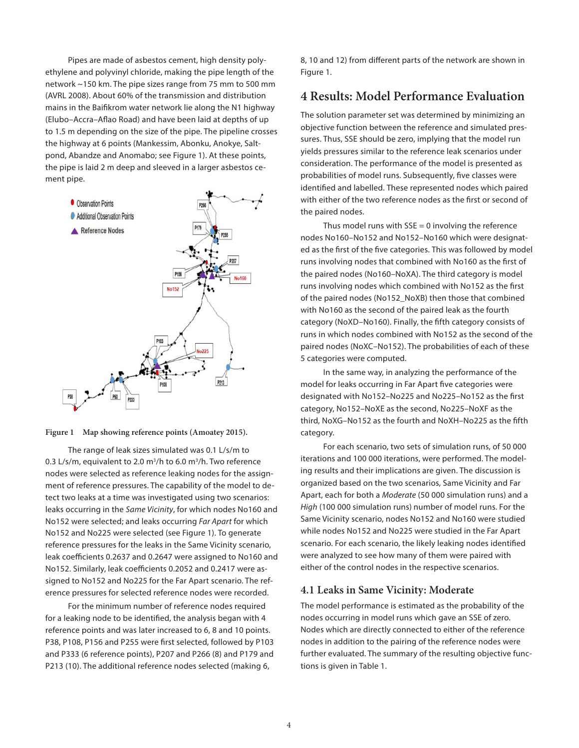Pipes are made of asbestos cement, high density polyethylene and polyvinyl chloride, making the pipe length of the network ~150 km. The pipe sizes range from 75 mm to 500 mm (AVRL 2008). About 60% of the transmission and distribution mains in the Baifikrom water network lie along the N1 highway (Elubo–Accra–Aflao Road) and have been laid at depths of up to 1.5 m depending on the size of the pipe. The pipeline crosses the highway at 6 points (Mankessim, Abonku, Anokye, Saltpond, Abandze and Anomabo; see Figure 1). At these points, the pipe is laid 2 m deep and sleeved in a larger asbestos cement pipe.





The range of leak sizes simulated was 0.1 L/s/m to 0.3 L/s/m, equivalent to 2.0  $m^3/h$  to 6.0  $m^3/h$ . Two reference nodes were selected as reference leaking nodes for the assignment of reference pressures. The capability of the model to detect two leaks at a time was investigated using two scenarios: leaks occurring in the *Same Vicinity*, for which nodes No160 and No152 were selected; and leaks occurring *Far Apart* for which No152 and No225 were selected (see Figure 1). To generate reference pressures for the leaks in the Same Vicinity scenario, leak coefficients 0.2637 and 0.2647 were assigned to No160 and No152. Similarly, leak coefficients 0.2052 and 0.2417 were assigned to No152 and No225 for the Far Apart scenario. The reference pressures for selected reference nodes were recorded.

For the minimum number of reference nodes required for a leaking node to be identified, the analysis began with 4 reference points and was later increased to 6, 8 and 10 points. P38, P108, P156 and P255 were first selected, followed by P103 and P333 (6 reference points), P207 and P266 (8) and P179 and P213 (10). The additional reference nodes selected (making 6,

8, 10 and 12) from different parts of the network are shown in Figure 1.

### **4 Results: Model Performance Evaluation**

The solution parameter set was determined by minimizing an objective function between the reference and simulated pressures. Thus, SSE should be zero, implying that the model run yields pressures similar to the reference leak scenarios under consideration. The performance of the model is presented as probabilities of model runs. Subsequently, five classes were identified and labelled. These represented nodes which paired with either of the two reference nodes as the first or second of the paired nodes.

Thus model runs with  $SSE = 0$  involving the reference nodes No160–No152 and No152–No160 which were designated as the first of the five categories. This was followed by model runs involving nodes that combined with No160 as the first of the paired nodes (No160–NoXA). The third category is model runs involving nodes which combined with No152 as the first of the paired nodes (No152\_NoXB) then those that combined with No160 as the second of the paired leak as the fourth category (NoXD–No160). Finally, the fifth category consists of runs in which nodes combined with No152 as the second of the paired nodes (NoXC–No152). The probabilities of each of these 5 categories were computed.

In the same way, in analyzing the performance of the model for leaks occurring in Far Apart five categories were designated with No152–No225 and No225–No152 as the first category, No152–NoXE as the second, No225–NoXF as the third, NoXG–No152 as the fourth and NoXH–No225 as the fifth category.

For each scenario, two sets of simulation runs, of 50 000 iterations and 100 000 iterations, were performed. The modeling results and their implications are given. The discussion is organized based on the two scenarios, Same Vicinity and Far Apart, each for both a *Moderate* (50 000 simulation runs) and a *High* (100 000 simulation runs) number of model runs. For the Same Vicinity scenario, nodes No152 and No160 were studied while nodes No152 and No225 were studied in the Far Apart scenario. For each scenario, the likely leaking nodes identified were analyzed to see how many of them were paired with either of the control nodes in the respective scenarios.

#### **4.1 Leaks in Same Vicinity: Moderate**

The model performance is estimated as the probability of the nodes occurring in model runs which gave an SSE of zero. Nodes which are directly connected to either of the reference nodes in addition to the pairing of the reference nodes were further evaluated. The summary of the resulting objective functions is given in Table 1.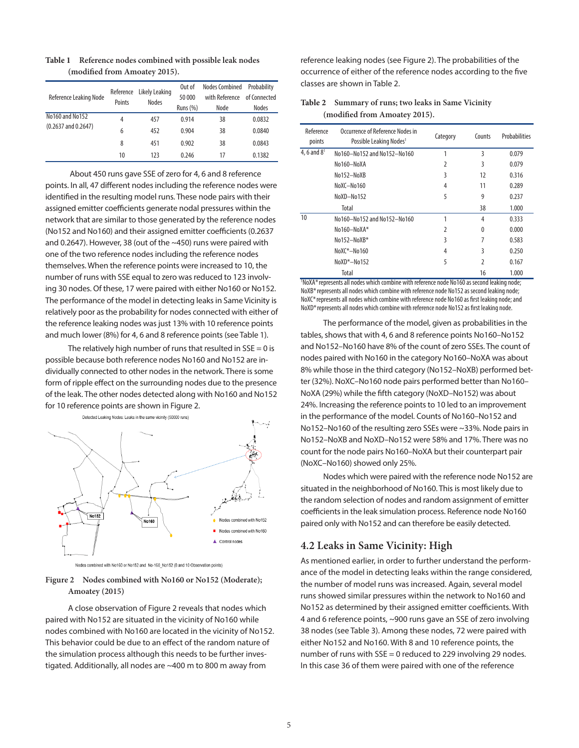| Reference Leaking Node  | Reference<br>Points | Likely Leaking<br><b>Nodes</b> | Out of<br>50 000<br><b>Runs (%)</b> | <b>Nodes Combined</b><br>with Reference<br>Node | Probability<br>of Connected<br><b>Nodes</b> |
|-------------------------|---------------------|--------------------------------|-------------------------------------|-------------------------------------------------|---------------------------------------------|
| No 160 and No 152       | 4                   | 457                            | 0.914                               | 38                                              | 0.0832                                      |
| $(0.2637$ and $0.2647)$ | 6                   | 452                            | 0.904                               | 38                                              | 0.0840                                      |
|                         | 8                   | 451                            | 0.902                               | 38                                              | 0.0843                                      |
|                         | 10                  | 123                            | 0.246                               | 17                                              | 0.1382                                      |

**Table 1 Reference nodes combined with possible leak nodes (modified from Amoatey 2015).**

 About 450 runs gave SSE of zero for 4, 6 and 8 reference points. In all, 47 different nodes including the reference nodes were identified in the resulting model runs. These node pairs with their assigned emitter coefficients generate nodal pressures within the network that are similar to those generated by the reference nodes (No152 and No160) and their assigned emitter coefficients (0.2637 and 0.2647). However, 38 (out of the ~450) runs were paired with one of the two reference nodes including the reference nodes themselves. When the reference points were increased to 10, the number of runs with SSE equal to zero was reduced to 123 involving 30 nodes. Of these, 17 were paired with either No160 or No152. The performance of the model in detecting leaks in Same Vicinity is relatively poor as the probability for nodes connected with either of the reference leaking nodes was just 13% with 10 reference points and much lower (8%) for 4, 6 and 8 reference points (see Table 1).

The relatively high number of runs that resulted in  $SSE = 0$  is possible because both reference nodes No160 and No152 are individually connected to other nodes in the network. There is some form of ripple effect on the surrounding nodes due to the presence of the leak. The other nodes detected along with No160 and No152 for 10 reference points are shown in Figure 2.

Detected Leaking Nodes: Leaks in the same vicinity (50000 runs)



Nodes combined with No160 or No152 and No-160\_No152 (8 and 10 Observation points)

#### **Figure 2 Nodes combined with No160 or No152 (Moderate); Amoatey (2015)**

A close observation of Figure 2 reveals that nodes which paired with No152 are situated in the vicinity of No160 while nodes combined with No160 are located in the vicinity of No152. This behavior could be due to an effect of the random nature of the simulation process although this needs to be further investigated. Additionally, all nodes are ~400 m to 800 m away from

reference leaking nodes (see Figure 2). The probabilities of the occurrence of either of the reference nodes according to the five classes are shown in Table 2.

#### **Table 2 Summary of runs; two leaks in Same Vicinity (modified from Amoatey 2015).**

| Reference<br>points | Occurrence of Reference Nodes in<br>Possible Leaking Nodes <sup>1</sup>                                                                 | Category | Counts                  | Probabilities |
|---------------------|-----------------------------------------------------------------------------------------------------------------------------------------|----------|-------------------------|---------------|
| 4, 6 and $8^1$      | No160-No152 and No152-No160                                                                                                             | 1        | 3                       | 0.079         |
|                     | No160-NoXA                                                                                                                              | 2        | 3                       | 0.079         |
|                     | No152-NoXB                                                                                                                              | 3        | 12                      | 0.316         |
|                     | NoXC-No160                                                                                                                              | 4        | 11                      | 0.289         |
|                     | NoXD-No152                                                                                                                              | 5        | 9                       | 0.237         |
|                     | Total                                                                                                                                   |          | 38                      | 1.000         |
| 10                  | No160-No152 and No152-No160                                                                                                             | 1        | 4                       | 0.333         |
|                     | No160-NoXA*                                                                                                                             | 2        | 0                       | 0.000         |
|                     | No152-NoXB*                                                                                                                             | 3        | 7                       | 0.583         |
|                     | $NoXC*-No160$                                                                                                                           | 4        | 3                       | 0.250         |
|                     | NoXD*-No152                                                                                                                             | 5        | $\overline{2}$          | 0.167         |
| <b>181 MAM</b>      | Total<br>$\sim$ 10 $\sim$ 10 $\sim$ 10 $\sim$ 10 $\sim$ 10 $\sim$ 10 $\sim$ 10 $\sim$ 10 $\sim$ 10 $\sim$ 10 $\sim$ 10 $\sim$ 10 $\sim$ |          | 16<br><b>CONTRACTOR</b> | 1.000         |

<sup>1</sup>NoXA\* represents all nodes which combine with reference node No160 as second leaking node; NoXB\*represents all nodes which combine with reference node No152 as second leaking node; NoXC\*represents all nodes which combine with reference node No160 as first leaking node; and NoXD\*represents all nodes which combine with reference node No152 as first leaking node.

The performance of the model, given as probabilities in the tables, shows that with 4, 6 and 8 reference points No160–No152 and No152–No160 have 8% of the count of zero SSEs. The count of nodes paired with No160 in the category No160–NoXA was about 8% while those in the third category (No152–NoXB) performed better (32%). NoXC–No160 node pairs performed better than No160– NoXA (29%) while the fifth category (NoXD–No152) was about 24%. Increasing the reference points to 10 led to an improvement in the performance of the model. Counts of No160–No152 and No152–No160 of the resulting zero SSEs were ~33%. Node pairs in No152–NoXB and NoXD–No152 were 58% and 17%. There was no count for the node pairs No160–NoXA but their counterpart pair (NoXC–No160) showed only 25%.

Nodes which were paired with the reference node No152 are situated in the neighborhood of No160. This is most likely due to the random selection of nodes and random assignment of emitter coefficients in the leak simulation process. Reference node No160 paired only with No152 and can therefore be easily detected.

#### **4.2 Leaks in Same Vicinity: High**

As mentioned earlier, in order to further understand the performance of the model in detecting leaks within the range considered, the number of model runs was increased. Again, several model runs showed similar pressures within the network to No160 and No152 as determined by their assigned emitter coefficients. With 4 and 6 reference points, ~900 runs gave an SSE of zero involving 38 nodes (see Table 3). Among these nodes, 72 were paired with either No152 and No160. With 8 and 10 reference points, the number of runs with SSE = 0 reduced to 229 involving 29 nodes. In this case 36 of them were paired with one of the reference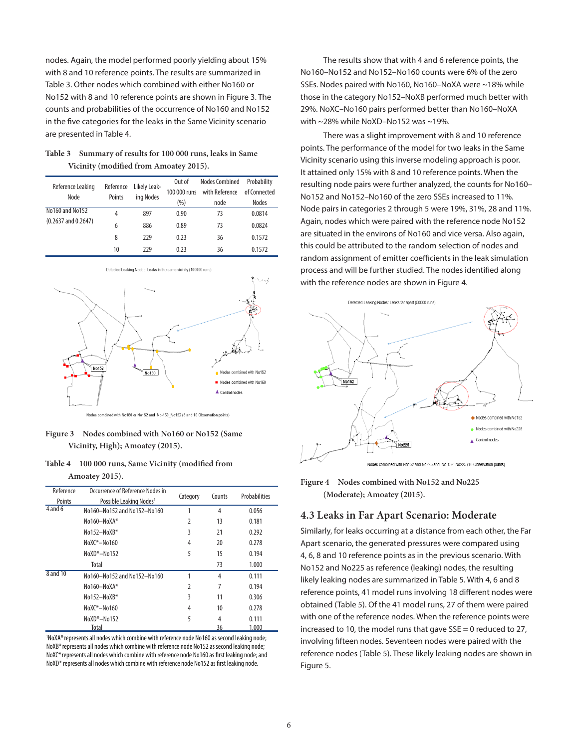nodes. Again, the model performed poorly yielding about 15% with 8 and 10 reference points. The results are summarized in Table 3. Other nodes which combined with either No160 or No152 with 8 and 10 reference points are shown in Figure 3. The counts and probabilities of the occurrence of No160 and No152 in the five categories for the leaks in the Same Vicinity scenario are presented in Table 4.

| Table 3 Summary of results for 100 000 runs, leaks in Same |
|------------------------------------------------------------|
| Vicinity (modified from Amoatey 2015).                     |

| Reference Leaking<br>Node                  | Reference<br>Points | Likely Leak-<br>ing Nodes | Out of<br>100 000 runs<br>(%) | <b>Nodes Combined</b><br>with Reference<br>node | Probability<br>of Connected<br><b>Nodes</b> |
|--------------------------------------------|---------------------|---------------------------|-------------------------------|-------------------------------------------------|---------------------------------------------|
| No160 and No152<br>$(0.2637$ and $0.2647)$ | 4                   | 897                       | 0.90                          | 73                                              | 0.0814                                      |
|                                            | 6                   | 886                       | 0.89                          | 73                                              | 0.0824                                      |
|                                            | 8                   | 229                       | 0.23                          | 36                                              | 0.1572                                      |
|                                            | 10                  | 229                       | 0.23                          | 36                                              | 0.1572                                      |



Detected Leaking Nodes: Leaks in the same vicinity (100000 runs)

**Figure 3 Nodes combined with No160 or No152 (Same Vicinity, High); Amoatey (2015).**

| <b>Table 4</b> | 100 000 runs, Same Vicinity (modified from |
|----------------|--------------------------------------------|
|                | Amoatey 2015).                             |

| Reference | Occurrence of Reference Nodes in    |                | Counts | Probabilities |
|-----------|-------------------------------------|----------------|--------|---------------|
| Points    | Possible Leaking Nodes <sup>1</sup> | Category       |        |               |
| $4$ and 6 | No160-No152 and No152-No160         | 1              | 4      | 0.056         |
|           | No160-NoXA*                         | $\overline{2}$ | 13     | 0.181         |
|           | No152-NoXB*                         | 3              | 21     | 0.292         |
|           | $NoXC*-No160$                       | 4              | 20     | 0.278         |
|           | NoXD*-No152                         | 5              | 15     | 0.194         |
|           | Total                               |                | 73     | 1.000         |
| 8 and 10  | No160-No152 and No152-No160         | 1              | 4      | 0.111         |
|           | No160-NoXA*                         | $\overline{2}$ | 7      | 0.194         |
|           | No152-NoXB*                         | 3              | 11     | 0.306         |
|           | $NoXC*-No160$                       | 4              | 10     | 0.278         |
|           | NoXD*-No152                         | 5              | 4      | 0.111         |
|           | Total                               |                | 36     | 1.000         |

1 NoXA\*represents all nodes which combine with reference node No160 as second leaking node; NoXB<sup>\*</sup> represents all nodes which combine with reference node No152 as second leaking node; NoXC\*represents all nodes which combine with reference node No160 as first leaking node; and NoXD\* represents all nodes which combine with reference node No152 as first leaking node.

The results show that with 4 and 6 reference points, the No160–No152 and No152–No160 counts were 6% of the zero SSEs. Nodes paired with No160, No160–NoXA were ~18% while those in the category No152–NoXB performed much better with 29%. NoXC–No160 pairs performed better than No160–NoXA with ~28% while NoXD–No152 was ~19%.

There was a slight improvement with 8 and 10 reference points. The performance of the model for two leaks in the Same Vicinity scenario using this inverse modeling approach is poor. It attained only 15% with 8 and 10 reference points. When the resulting node pairs were further analyzed, the counts for No160– No152 and No152–No160 of the zero SSEs increased to 11%. Node pairs in categories 2 through 5 were 19%, 31%, 28 and 11%. Again, nodes which were paired with the reference node No152 are situated in the environs of No160 and vice versa. Also again, this could be attributed to the random selection of nodes and random assignment of emitter coefficients in the leak simulation process and will be further studied. The nodes identified along with the reference nodes are shown in Figure 4.



**Figure 4 Nodes combined with No152 and No225 (Moderate); Amoatey (2015).**

#### **4.3 Leaks in Far Apart Scenario: Moderate**

Similarly, for leaks occurring at a distance from each other, the Far Apart scenario, the generated pressures were compared using 4, 6, 8 and 10 reference points as in the previous scenario. With No152 and No225 as reference (leaking) nodes, the resulting likely leaking nodes are summarized in Table 5. With 4, 6 and 8 reference points, 41 model runs involving 18 different nodes were obtained (Table 5). Of the 41 model runs, 27 of them were paired with one of the reference nodes. When the reference points were increased to 10, the model runs that gave SSE = 0 reduced to 27, involving fifteen nodes. Seventeen nodes were paired with the reference nodes (Table 5). These likely leaking nodes are shown in Figure 5.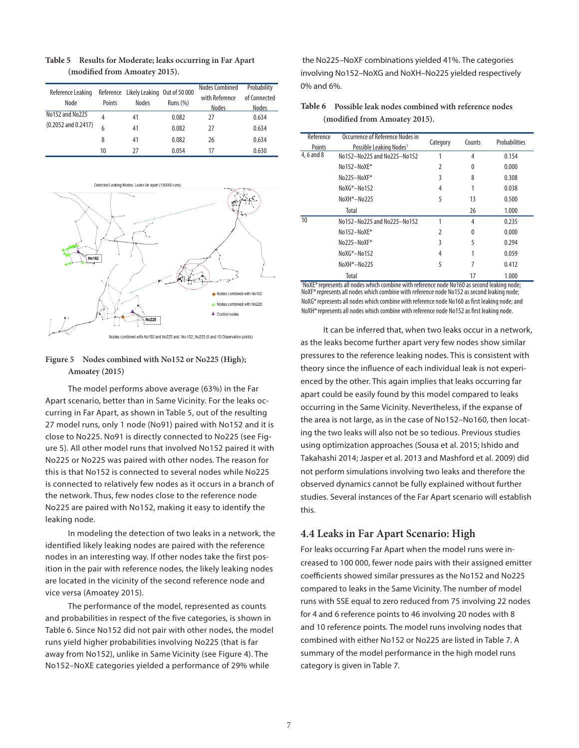| Reference Leaking<br>Node | Points | Reference Likely Leaking Out of 50 000<br><b>Nodes</b> | Runs $(\%)$ | Nodes Combined<br>with Reference<br>Nodes | Probability<br>of Connected<br>Nodes |
|---------------------------|--------|--------------------------------------------------------|-------------|-------------------------------------------|--------------------------------------|
| No152 and No225           | 4      | 41                                                     | 0.082       | 27                                        | 0.634                                |
| $(0.2052$ and $0.2417)$   |        | 41                                                     | 0.082       | 27                                        | 0.634                                |
|                           | 8      | 41                                                     | 0.082       | 26                                        | 0.634                                |
|                           | 10     | 77                                                     | 0.054       |                                           | 0.630                                |

#### **Table 5 Results for Moderate; leaks occurring in Far Apart (modified from Amoatey 2015).**



ed with No152 and No225 and No-152\_No225 (8 and 10 Observation points)

#### **Figure 5 Nodes combined with No152 or No225 (High); Amoatey (2015)**

The model performs above average (63%) in the Far Apart scenario, better than in Same Vicinity. For the leaks occurring in Far Apart, as shown in Table 5, out of the resulting 27 model runs, only 1 node (No91) paired with No152 and it is close to No225. No91 is directly connected to No225 (see Figure 5). All other model runs that involved No152 paired it with No225 or No225 was paired with other nodes. The reason for this is that No152 is connected to several nodes while No225 is connected to relatively few nodes as it occurs in a branch of the network. Thus, few nodes close to the reference node No225 are paired with No152, making it easy to identify the leaking node.

In modeling the detection of two leaks in a network, the identified likely leaking nodes are paired with the reference nodes in an interesting way. If other nodes take the first position in the pair with reference nodes, the likely leaking nodes are located in the vicinity of the second reference node and vice versa (Amoatey 2015).

The performance of the model, represented as counts and probabilities in respect of the five categories, is shown in Table 6. Since No152 did not pair with other nodes, the model runs yield higher probabilities involving No225 (that is far away from No152), unlike in Same Vicinity (see Figure 4). The No152–NoXE categories yielded a performance of 29% while

 the No225–NoXF combinations yielded 41%. The categories involving No152–NoXG and NoXH–No225 yielded respectively 0% and 6%.

| Table 6 Possible leak nodes combined with reference nodes |
|-----------------------------------------------------------|
| (modified from Amoatey 2015).                             |

| Reference  | Occurrence of Reference Nodes in    | Category      | Counts | Probabilities |
|------------|-------------------------------------|---------------|--------|---------------|
| Points     | Possible Leaking Nodes <sup>1</sup> |               |        |               |
| 4, 6 and 8 | No152-No225 and No225-No152         | 1             | 4      | 0.154         |
|            | No152-NoXE*                         | 2             | 0      | 0.000         |
|            | No225-NoXF*                         | 3             | 8      | 0.308         |
|            | $NoXG*-No152$                       | 4             |        | 0.038         |
|            | NoXH*-No225                         | 5             | 13     | 0.500         |
|            | Total                               |               | 26     | 1.000         |
| 10         | No152-No225 and No225-No152         | 1             | 4      | 0.235         |
|            | No152-NoXE*                         | $\mathfrak z$ | 0      | 0.000         |
|            | No225-NoXF*                         | ξ             | 5      | 0.294         |
|            | NoXG*-No152                         | 4             |        | 0.059         |
|            | NoXH*-No225                         | 5             |        | 0.412         |
| 111.1      | Total<br>$\overline{\phantom{a}}$   |               | 17     | 1.000         |

<sup>1</sup>NoXE\*represents all nodes which combine with reference node No160 as second leaking node; NoXF\*represents all nodes which combine with reference node No152 as second leaking node; NoXG\*represents all nodes which combine with reference node No160 as first leaking node; and NoXH\* represents all nodes which combine with reference node No152 as first leaking node.

It can be inferred that, when two leaks occur in a network, as the leaks become further apart very few nodes show similar pressures to the reference leaking nodes. This is consistent with theory since the influence of each individual leak is not experienced by the other. This again implies that leaks occurring far apart could be easily found by this model compared to leaks occurring in the Same Vicinity. Nevertheless, if the expanse of the area is not large, as in the case of No152–No160, then locating the two leaks will also not be so tedious. Previous studies using optimization approaches (Sousa et al. 2015; Ishido and Takahashi 2014; Jasper et al. 2013 and Mashford et al. 2009) did not perform simulations involving two leaks and therefore the observed dynamics cannot be fully explained without further studies. Several instances of the Far Apart scenario will establish this.

#### **4.4 Leaks in Far Apart Scenario: High**

For leaks occurring Far Apart when the model runs were increased to 100 000, fewer node pairs with their assigned emitter coefficients showed similar pressures as the No152 and No225 compared to leaks in the Same Vicinity. The number of model runs with SSE equal to zero reduced from 75 involving 22 nodes for 4 and 6 reference points to 46 involving 20 nodes with 8 and 10 reference points. The model runs involving nodes that combined with either No152 or No225 are listed in Table 7. A summary of the model performance in the high model runs category is given in Table 7.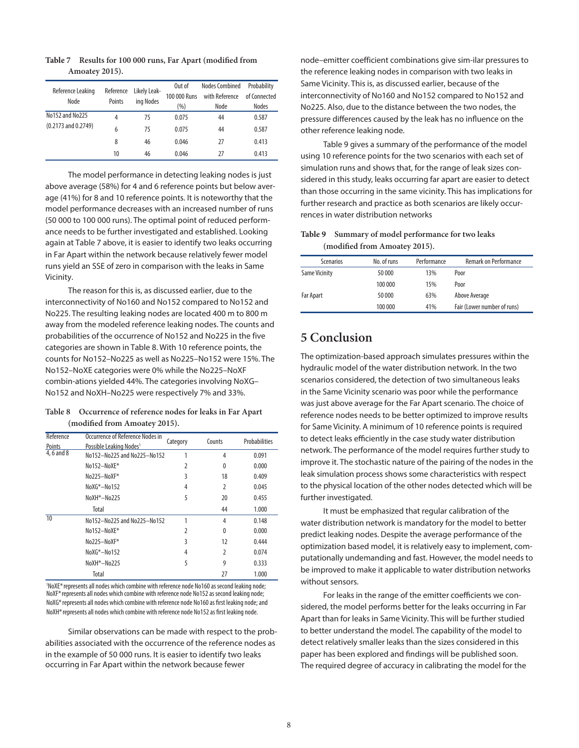| Reference Leaking       | Reference | Likely Leak- | Out of       | <b>Nodes Combined</b> | Probability  |
|-------------------------|-----------|--------------|--------------|-----------------------|--------------|
| Node                    | Points    | ing Nodes    | 100 000 Runs | with Reference        | of Connected |
|                         |           |              | (%)          | Node                  | <b>Nodes</b> |
| No152 and No225         | 4         | 75           | 0.075        | 44                    | 0.587        |
| $(0.2173$ and $0.2749)$ | 6         | 75           | 0.075        | 44                    | 0.587        |
|                         | 8         | 46           | 0.046        | 27                    | 0.413        |
|                         | 10        | 46           | 0.046        | 27                    | 0.413        |

**Table 7 Results for 100 000 runs, Far Apart (modified from Amoatey 2015).**

The model performance in detecting leaking nodes is just above average (58%) for 4 and 6 reference points but below average (41%) for 8 and 10 reference points. It is noteworthy that the model performance decreases with an increased number of runs (50 000 to 100 000 runs). The optimal point of reduced performance needs to be further investigated and established. Looking again at Table 7 above, it is easier to identify two leaks occurring in Far Apart within the network because relatively fewer model runs yield an SSE of zero in comparison with the leaks in Same Vicinity.

The reason for this is, as discussed earlier, due to the interconnectivity of No160 and No152 compared to No152 and No225. The resulting leaking nodes are located 400 m to 800 m away from the modeled reference leaking nodes. The counts and probabilities of the occurrence of No152 and No225 in the five categories are shown in Table 8. With 10 reference points, the counts for No152–No225 as well as No225–No152 were 15%. The No152–NoXE categories were 0% while the No225–NoXF combin-ations yielded 44%. The categories involving NoXG– No152 and NoXH–No225 were respectively 7% and 33%.

**Table 8 Occurrence of reference nodes for leaks in Far Apart (modified from Amoatey 2015).**

| Reference     | Occurrence of Reference Nodes in    | Category | Counts         | Probabilities |
|---------------|-------------------------------------|----------|----------------|---------------|
| <b>Points</b> | Possible Leaking Nodes <sup>1</sup> |          |                |               |
| 4, 6 and 8    | No152-No225 and No225-No152         |          | 4              | 0.091         |
|               | No152-NoXE*                         | 2        | $\mathbf{0}$   | 0.000         |
|               | No225-NoXF*                         | 3        | 18             | 0.409         |
|               | NoXG*-No152                         | 4        | $\overline{2}$ | 0.045         |
|               | NoXH*-No225                         | 5        | 20             | 0.455         |
|               | Total                               |          | 44             | 1.000         |
| 10            | No152-No225 and No225-No152         | 1        | 4              | 0.148         |
|               | No152-NoXE*                         | 2        | $\mathbf{0}$   | 0.000         |
|               | No225-NoXF*                         | 3        | 12             | 0.444         |
|               | NoXG*-No152                         | 4        | 2              | 0.074         |
|               | NoXH*-No225                         | 5        | 9              | 0.333         |
|               | Total                               |          | 27             | 1.000         |

<sup>1</sup>NoXE\*represents all nodes which combine with reference node No160 as second leaking node; NoXF\*represents all nodes which combine with reference node No152 as second leaking node; NoXG\*represents all nodes which combine with reference node No160 as first leaking node; and NoXH\*represents all nodes which combine with reference node No152 as first leaking node.

Similar observations can be made with respect to the probabilities associated with the occurrence of the reference nodes as in the example of 50 000 runs. It is easier to identify two leaks occurring in Far Apart within the network because fewer

node–emitter coefficient combinations give sim-ilar pressures to the reference leaking nodes in comparison with two leaks in Same Vicinity. This is, as discussed earlier, because of the interconnectivity of No160 and No152 compared to No152 and No225. Also, due to the distance between the two nodes, the pressure differences caused by the leak has no influence on the other reference leaking node.

Table 9 gives a summary of the performance of the model using 10 reference points for the two scenarios with each set of simulation runs and shows that, for the range of leak sizes considered in this study, leaks occurring far apart are easier to detect than those occurring in the same vicinity. This has implications for further research and practice as both scenarios are likely occurrences in water distribution networks

| Table 9 Summary of model performance for two leaks |
|----------------------------------------------------|
| (modified from Amoatey 2015).                      |

| <b>Scenarios</b>     | No. of runs | Performance | <b>Remark on Performance</b> |
|----------------------|-------------|-------------|------------------------------|
| <b>Same Vicinity</b> | 50 000      | 13%         | Poor                         |
|                      | 100 000     | 15%         | Poor                         |
| <b>Far Apart</b>     | 50 000      | 63%         | Above Average                |
|                      | 100 000     | 41%         | Fair (Lower number of runs)  |

# **5 Conclusion**

The optimization-based approach simulates pressures within the hydraulic model of the water distribution network. In the two scenarios considered, the detection of two simultaneous leaks in the Same Vicinity scenario was poor while the performance was just above average for the Far Apart scenario. The choice of reference nodes needs to be better optimized to improve results for Same Vicinity. A minimum of 10 reference points is required to detect leaks efficiently in the case study water distribution network. The performance of the model requires further study to improve it. The stochastic nature of the pairing of the nodes in the leak simulation process shows some characteristics with respect to the physical location of the other nodes detected which will be further investigated.

It must be emphasized that regular calibration of the water distribution network is mandatory for the model to better predict leaking nodes. Despite the average performance of the optimization based model, it is relatively easy to implement, computationally undemanding and fast. However, the model needs to be improved to make it applicable to water distribution networks without sensors.

For leaks in the range of the emitter coefficients we considered, the model performs better for the leaks occurring in Far Apart than for leaks in Same Vicinity. This will be further studied to better understand the model. The capability of the model to detect relatively smaller leaks than the sizes considered in this paper has been explored and findings will be published soon. The required degree of accuracy in calibrating the model for the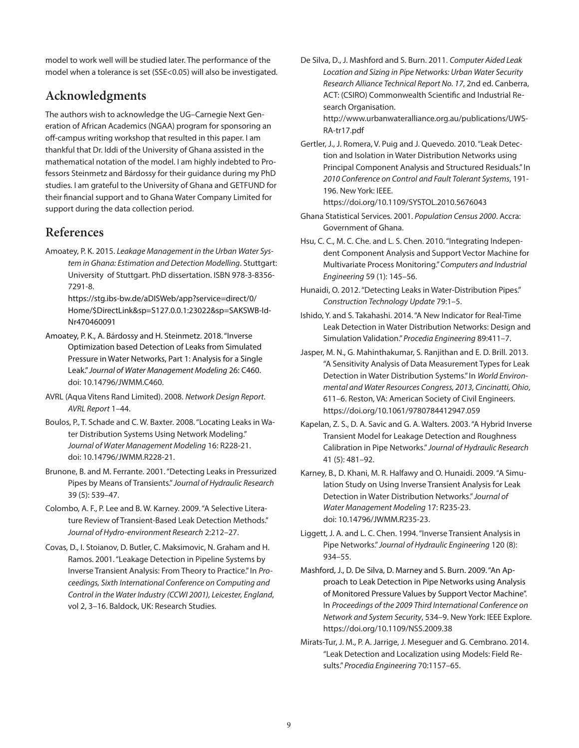model to work well will be studied later. The performance of the model when a tolerance is set (SSE<0.05) will also be investigated.

# **Acknowledgments**

The authors wish to acknowledge the UG–Carnegie Next Generation of African Academics (NGAA) program for sponsoring an off-campus writing workshop that resulted in this paper. I am thankful that Dr. Iddi of the University of Ghana assisted in the mathematical notation of the model. I am highly indebted to Professors Steinmetz and Bárdossy for their guidance during my PhD studies. I am grateful to the University of Ghana and GETFUND for their financial support and to Ghana Water Company Limited for support during the data collection period.

# **References**

Amoatey, P. K. 2015. *Leakage Management in the Urban Water System in Ghana: Estimation and Detection Modelling*. Stuttgart: University of Stuttgart. PhD dissertation. ISBN 978-3-8356- 7291-8.

https://stg.ibs-bw.de/aDISWeb/app?service=direct/0/ Home/\$DirectLink&sp=S127.0.0.1:23022&sp=SAKSWB-Id-Nr470460091

- Amoatey, P. K., A. Bárdossy and H. Steinmetz. 2018. "Inverse Optimization based Detection of Leaks from Simulated Pressure in Water Networks, Part 1: Analysis for a Single Leak." *Journal of Water Management Modeling* 26: C460. doi: [10.14796/JWMM.C460.](https://doi.org/10.14796/JWMM.C460)
- AVRL (Aqua Vitens Rand Limited). 2008. *Network Design Report*. *AVRL Report* 1–44.
- Boulos, P., T. Schade and C. W. Baxter. 2008. "Locating Leaks in Water Distribution Systems Using Network Modeling." *Journal of Water Management Modeling* 16: R228-21. doi: [10.14796/JWMM.R228-21.](https://doi.org/10.14796/JWMM.R228-21)
- Brunone, B. and M. Ferrante. 2001. "Detecting Leaks in Pressurized Pipes by Means of Transients." *Journal of Hydraulic Research* 39 (5): 539–47.
- Colombo, A. F., P. Lee and B. W. Karney. 2009. "A Selective Literature Review of Transient-Based Leak Detection Methods." *Journal of Hydro-environment Research* 2:212–27.
- Covas, D., I. Stoianov, D. Butler, C. Maksimovic, N. Graham and H. Ramos. 2001. "Leakage Detection in Pipeline Systems by Inverse Transient Analysis: From Theory to Practice." In *Proceedings, Sixth International Conference on Computing and Control in the Water Industry (CCWI 2001), Leicester, England*, vol 2, 3–16. Baldock, UK: Research Studies.

De Silva, D., J. Mashford and S. Burn. 2011. *Computer Aided Leak Location and Sizing in Pipe Networks: Urban Water Security Research Alliance Technical Report No. 17*, 2nd ed. Canberra, ACT: (CSIRO) Commonwealth Scientific and Industrial Research Organisation.

http://www.urbanwateralliance.org.au/publications/UWS-RA-tr17.pdf

Gertler, J., J. Romera, V. Puig and J. Quevedo. 2010. "Leak Detection and Isolation in Water Distribution Networks using Principal Component Analysis and Structured Residuals." In *2010 Conference on Control and Fault Tolerant Systems*, 191- 196. New York: IEEE.

https://doi.org/10.1109/SYSTOL.2010.5676043

- Ghana Statistical Services. 2001. *Population Census 2000*. Accra: Government of Ghana.
- Hsu, C. C., M. C. Che. and L. S. Chen. 2010. "Integrating Independent Component Analysis and Support Vector Machine for Multivariate Process Monitoring." *Computers and Industrial Engineering* 59 (1): 145–56.
- Hunaidi, O. 2012. "Detecting Leaks in Water-Distribution Pipes." *Construction Technology Update* 79:1–5.
- Ishido, Y. and S. Takahashi. 2014. "A New Indicator for Real-Time Leak Detection in Water Distribution Networks: Design and Simulation Validation." *Procedia Engineering* 89:411–7.
- Jasper, M. N., G. Mahinthakumar, S. Ranjithan and E. D. Brill. 2013. "A Sensitivity Analysis of Data Measurement Types for Leak Detection in Water Distribution Systems." In *World Environmental and Water Resources Congress, 2013, Cincinatti, Ohio*, 611–6. Reston, VA: American Society of Civil Engineers. https://doi.org/10.1061/9780784412947.059
- Kapelan, Z. S., D. A. Savic and G. A. Walters. 2003. "A Hybrid Inverse Transient Model for Leakage Detection and Roughness Calibration in Pipe Networks." *Journal of Hydraulic Research* 41 (5): 481–92.
- Karney, B., D. Khani, M. R. Halfawy and O. Hunaidi. 2009. "A Simulation Study on Using Inverse Transient Analysis for Leak Detection in Water Distribution Networks." *Journal of Water Management Modeling* 17: R235-23. doi: [10.14796/JWMM.R235-23.](https://doi.org/10.14796/JWMM.R235-23)
- Liggett, J. A. and L. C. Chen. 1994. "Inverse Transient Analysis in Pipe Networks." *Journal of Hydraulic Engineering* 120 (8): 934–55.
- Mashford, J., D. De Silva, D. Marney and S. Burn. 2009. "An Approach to Leak Detection in Pipe Networks using Analysis of Monitored Pressure Values by Support Vector Machine". In *Proceedings of the 2009 Third International Conference on Network and System Security*, 534–9. New York: IEEE Explore. https://doi.org/10.1109/NSS.2009.38
- Mirats-Tur, J. M., P. A. Jarrige, J. Meseguer and G. Cembrano. 2014. "Leak Detection and Localization using Models: Field Results." *Procedia Engineering* 70:1157–65.